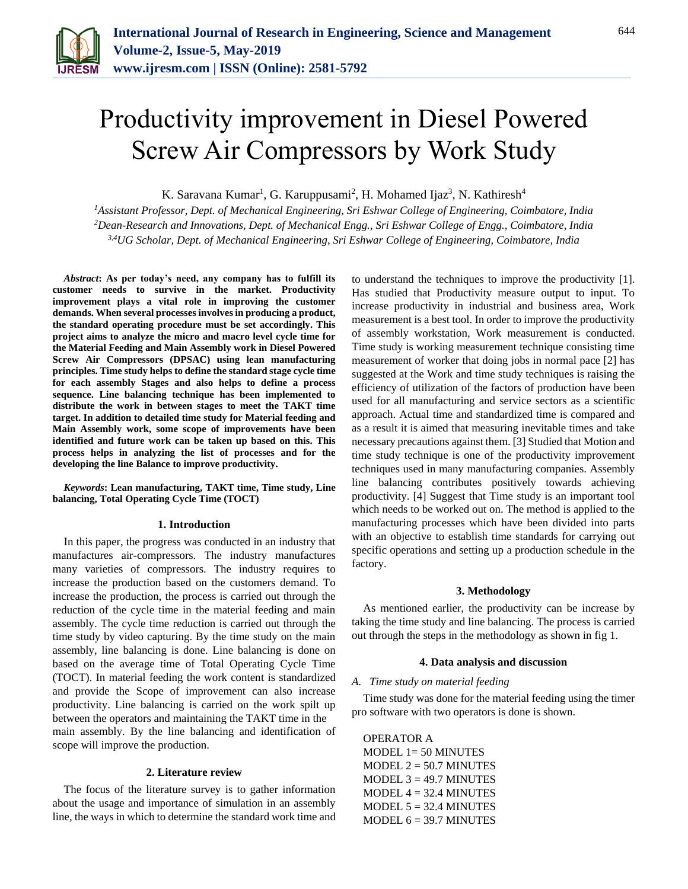

# Productivity improvement in Diesel Powered Screw Air Compressors by Work Study

K. Saravana Kumar<sup>1</sup>, G. Karuppusami<sup>2</sup>, H. Mohamed Ijaz<sup>3</sup>, N. Kathiresh<sup>4</sup>

*<sup>1</sup>Assistant Professor, Dept. of Mechanical Engineering, Sri Eshwar College of Engineering, Coimbatore, India <sup>2</sup>Dean-Research and Innovations, Dept. of Mechanical Engg., Sri Eshwar College of Engg., Coimbatore, India 3,4UG Scholar, Dept. of Mechanical Engineering, Sri Eshwar College of Engineering, Coimbatore, India*

*Abstract***: As per today's need, any company has to fulfill its customer needs to survive in the market. Productivity improvement plays a vital role in improving the customer demands. When several processes involves in producing a product, the standard operating procedure must be set accordingly. This project aims to analyze the micro and macro level cycle time for the Material Feeding and Main Assembly work in Diesel Powered Screw Air Compressors (DPSAC) using lean manufacturing principles. Time study helps to define the standard stage cycle time for each assembly Stages and also helps to define a process sequence. Line balancing technique has been implemented to distribute the work in between stages to meet the TAKT time target. In addition to detailed time study for Material feeding and Main Assembly work, some scope of improvements have been identified and future work can be taken up based on this. This process helps in analyzing the list of processes and for the developing the line Balance to improve productivity.**

*Keywords***: Lean manufacturing, TAKT time, Time study, Line balancing, Total Operating Cycle Time (TOCT)** 

#### **1. Introduction**

In this paper, the progress was conducted in an industry that manufactures air-compressors. The industry manufactures many varieties of compressors. The industry requires to increase the production based on the customers demand. To increase the production, the process is carried out through the reduction of the cycle time in the material feeding and main assembly. The cycle time reduction is carried out through the time study by video capturing. By the time study on the main assembly, line balancing is done. Line balancing is done on based on the average time of Total Operating Cycle Time (TOCT). In material feeding the work content is standardized and provide the Scope of improvement can also increase productivity. Line balancing is carried on the work spilt up between the operators and maintaining the TAKT time in the main assembly. By the line balancing and identification of scope will improve the production.

#### **2. Literature review**

The focus of the literature survey is to gather information about the usage and importance of simulation in an assembly line, the ways in which to determine the standard work time and to understand the techniques to improve the productivity [1]. Has studied that Productivity measure output to input. To increase productivity in industrial and business area, Work measurement is a best tool. In order to improve the productivity of assembly workstation, Work measurement is conducted. Time study is working measurement technique consisting time measurement of worker that doing jobs in normal pace [2] has suggested at the Work and time study techniques is raising the efficiency of utilization of the factors of production have been used for all manufacturing and service sectors as a scientific approach. Actual time and standardized time is compared and as a result it is aimed that measuring inevitable times and take necessary precautions against them. [3] Studied that Motion and time study technique is one of the productivity improvement techniques used in many manufacturing companies. Assembly line balancing contributes positively towards achieving productivity. [4] Suggest that Time study is an important tool which needs to be worked out on. The method is applied to the manufacturing processes which have been divided into parts with an objective to establish time standards for carrying out specific operations and setting up a production schedule in the factory.

#### **3. Methodology**

As mentioned earlier, the productivity can be increase by taking the time study and line balancing. The process is carried out through the steps in the methodology as shown in fig 1.

#### **4. Data analysis and discussion**

#### *A. Time study on material feeding*

Time study was done for the material feeding using the timer pro software with two operators is done is shown.

OPERATOR A MODEL 1= 50 MINUTES  $MODEL$   $2 = 50.7$  MINUTES MODEL  $3 = 49.7$  MINUTES  $MODEL$  4 = 32.4 MINUTES  $MODEL$  5 = 32.4 MINUTES MODEL  $6 = 39.7$  MINUTES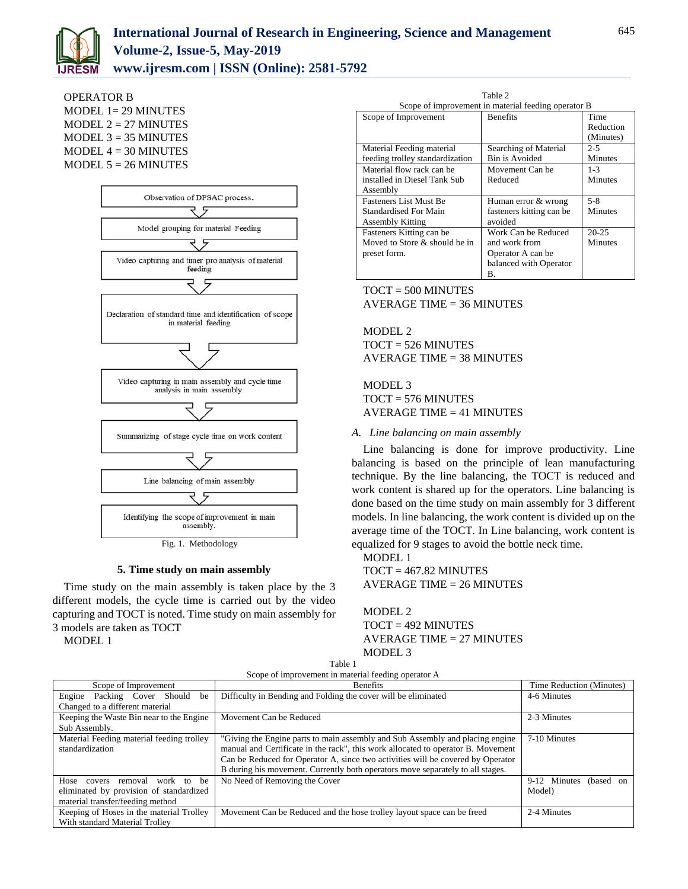

OPERATOR B

MODEL 1= 29 MINUTES  $MODEL$   $2 = 27$  MINUTES  $MODEL$  3 = 35 MINUTES MODEL  $4 = 30$  MINUTES MODEL  $5 = 26$  MINUTES



Fig. 1. Methodology

#### **5. Time study on main assembly**

Time study on the main assembly is taken place by the 3 different models, the cycle time is carried out by the video capturing and TOCT is noted. Time study on main assembly for 3 models are taken as TOCT

MODEL 1

Scope of improvement in material feeding operator B Scope of Improvement Benefits Time Reduction (Minutes) Material Feeding material feeding trolley standardization Searching of Material Bin is Avoided 2-5 Minutes Material flow rack can be installed in Diesel Tank Sub Assembly Movement Can be Reduced 1-3 Minutes Fasteners List Must Be Standardised For Main Assembly Kitting Human error & wrong fasteners kitting can be avoided 5-8 Minutes Fasteners Kitting can be Moved to Store & should be in Work Can be Reduced and work from Operator A can be 20-25 Minutes

B.

balanced with Operator

Table 2

TOCT = 500 MINUTES AVERAGE TIME = 36 MINUTES

preset form.

MODEL 2 TOCT = 526 MINUTES AVERAGE TIME = 38 MINUTES

MODEL 3 TOCT = 576 MINUTES AVERAGE TIME = 41 MINUTES

### *A. Line balancing on main assembly*

Line balancing is done for improve productivity. Line balancing is based on the principle of lean manufacturing technique. By the line balancing, the TOCT is reduced and work content is shared up for the operators. Line balancing is done based on the time study on main assembly for 3 different models. In line balancing, the work content is divided up on the average time of the TOCT. In Line balancing, work content is equalized for 9 stages to avoid the bottle neck time.

MODEL 1  $TOCT = 467.82$  MINUTES AVERAGE TIME = 26 MINUTES

MODEL 2 TOCT = 492 MINUTES AVERAGE TIME = 27 MINUTES MODEL 3

| Scope of Improvement                       | <b>Benefits</b>                                                                  | Time Reduction (Minutes)  |
|--------------------------------------------|----------------------------------------------------------------------------------|---------------------------|
| Engine<br>Packing Cover Should<br>be       | Difficulty in Bending and Folding the cover will be eliminated                   | 4-6 Minutes               |
| Changed to a different material            |                                                                                  |                           |
| Keeping the Waste Bin near to the Engine   | Movement Can be Reduced                                                          | 2-3 Minutes               |
| Sub Assembly.                              |                                                                                  |                           |
| Material Feeding material feeding trolley  | "Giving the Engine parts to main assembly and Sub Assembly and placing engine    | 7-10 Minutes              |
| standardization                            | manual and Certificate in the rack", this work allocated to operator B. Movement |                           |
|                                            | Can be Reduced for Operator A, since two activities will be covered by Operator  |                           |
|                                            | B during his movement. Currently both operators move separately to all stages.   |                           |
| Hose covers<br>work<br>be<br>to<br>removal | No Need of Removing the Cover                                                    | 9-12 Minutes<br>(based on |
| eliminated by provision of standardized    |                                                                                  | Model)                    |
| material transfer/feeding method           |                                                                                  |                           |
| Keeping of Hoses in the material Trolley   | Movement Can be Reduced and the hose trolley layout space can be freed           | 2-4 Minutes               |
| With standard Material Trolley             |                                                                                  |                           |

Table 1 Scope of improvement in material feeding operator A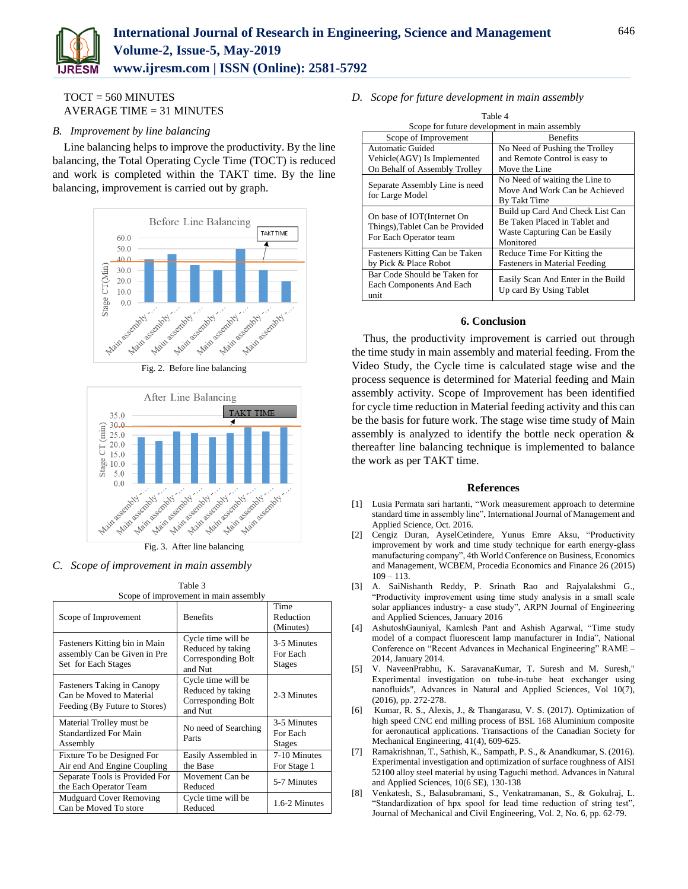

TOCT = 560 MINUTES AVERAGE TIME = 31 MINUTES

## *B. Improvement by line balancing*

Line balancing helps to improve the productivity. By the line balancing, the Total Operating Cycle Time (TOCT) is reduced and work is completed within the TAKT time. By the line balancing, improvement is carried out by graph.



Fig. 2. Before line balancing



*C. Scope of improvement in main assembly*

| Scope of Improvement                                                                           | <b>Benefits</b>                                                          | Time<br>Reduction<br>(Minutes)           |
|------------------------------------------------------------------------------------------------|--------------------------------------------------------------------------|------------------------------------------|
| Fasteners Kitting bin in Main<br>assembly Can be Given in Pre<br>Set for Each Stages           | Cycle time will be<br>Reduced by taking<br>Corresponding Bolt<br>and Nut | 3-5 Minutes<br>For Each<br><b>Stages</b> |
| <b>Fasteners Taking in Canopy</b><br>Can be Moved to Material<br>Feeding (By Future to Stores) | Cycle time will be<br>Reduced by taking<br>Corresponding Bolt<br>and Nut | 2-3 Minutes                              |
| Material Trolley must be<br><b>Standardized For Main</b><br>Assembly                           | No need of Searching<br>Parts                                            | 3-5 Minutes<br>For Each<br><b>Stages</b> |
| Fixture To be Designed For<br>Air end And Engine Coupling                                      | Easily Assembled in<br>the Base                                          | 7-10 Minutes<br>For Stage 1              |
| Separate Tools is Provided For<br>the Each Operator Team                                       | Movement Can be<br>Reduced                                               | 5-7 Minutes                              |
| <b>Mudguard Cover Removing</b><br>Can be Moved To store                                        | Cycle time will be<br>Reduced                                            | 1.6-2 Minutes                            |

Table 3 Scope of improvement in main assembly

*D. Scope for future development in main assembly*

| Table 4                                       |                                      |  |  |  |
|-----------------------------------------------|--------------------------------------|--|--|--|
| Scope for future development in main assembly |                                      |  |  |  |
| Scope of Improvement                          | <b>Benefits</b>                      |  |  |  |
| Automatic Guided                              | No Need of Pushing the Trolley       |  |  |  |
| Vehicle(AGV) Is Implemented                   | and Remote Control is easy to        |  |  |  |
| On Behalf of Assembly Trolley                 | Move the Line                        |  |  |  |
| Separate Assembly Line is need                | No Need of waiting the Line to       |  |  |  |
| for Large Model                               | Move And Work Can be Achieved        |  |  |  |
|                                               | By Takt Time                         |  |  |  |
| On base of IOT(Internet On                    | Build up Card And Check List Can     |  |  |  |
| Things), Tablet Can be Provided               | Be Taken Placed in Tablet and        |  |  |  |
| For Each Operator team                        | Waste Capturing Can be Easily        |  |  |  |
|                                               | Monitored                            |  |  |  |
| Fasteners Kitting Can be Taken                | Reduce Time For Kitting the          |  |  |  |
| by Pick & Place Robot                         | <b>Fasteners in Material Feeding</b> |  |  |  |
| Bar Code Should be Taken for                  | Easily Scan And Enter in the Build   |  |  |  |
| Each Components And Each                      | Up card By Using Tablet              |  |  |  |
| unit                                          |                                      |  |  |  |

# **6. Conclusion**

Thus, the productivity improvement is carried out through the time study in main assembly and material feeding. From the Video Study, the Cycle time is calculated stage wise and the process sequence is determined for Material feeding and Main assembly activity. Scope of Improvement has been identified for cycle time reduction in Material feeding activity and this can be the basis for future work. The stage wise time study of Main assembly is analyzed to identify the bottle neck operation & thereafter line balancing technique is implemented to balance the work as per TAKT time.

#### **References**

- [1] Lusia Permata sari hartanti, "Work measurement approach to determine standard time in assembly line", International Journal of Management and Applied Science, Oct. 2016.
- [2] Cengiz Duran, AyselCetindere, Yunus Emre Aksu, "Productivity improvement by work and time study technique for earth energy-glass manufacturing company", 4th World Conference on Business, Economics and Management, WCBEM, Procedia Economics and Finance 26 (2015)  $109 - 113$ .
- [3] A. SaiNishanth Reddy, P. Srinath Rao and Rajyalakshmi G., "Productivity improvement using time study analysis in a small scale solar appliances industry- a case study", ARPN Journal of Engineering and Applied Sciences, January 2016
- [4] AshutoshGauniyal, Kamlesh Pant and Ashish Agarwal, "Time study model of a compact fluorescent lamp manufacturer in India", National Conference on "Recent Advances in Mechanical Engineering" RAME – 2014, January 2014.
- [5] V. NaveenPrabhu, K. SaravanaKumar, T. Suresh and M. Suresh," Experimental investigation on tube-in-tube heat exchanger using nanofluids", Advances in Natural and Applied Sciences, Vol 10(7), (2016), pp. 272-278.
- [6] Kumar, R. S., Alexis, J., & Thangarasu, V. S. (2017). Optimization of high speed CNC end milling process of BSL 168 Aluminium composite for aeronautical applications. Transactions of the Canadian Society for Mechanical Engineering, 41(4), 609-625.
- [7] Ramakrishnan, T., Sathish, K., Sampath, P. S., & Anandkumar, S. (2016). Experimental investigation and optimization of surface roughness of AISI 52100 alloy steel material by using Taguchi method. Advances in Natural and Applied Sciences, 10(6 SE), 130-138
- [8] Venkatesh, S., Balasubramani, S., Venkatramanan, S., & Gokulraj, L. "Standardization of hpx spool for lead time reduction of string test", Journal of Mechanical and Civil Engineering, Vol. 2, No. 6, pp. 62-79.